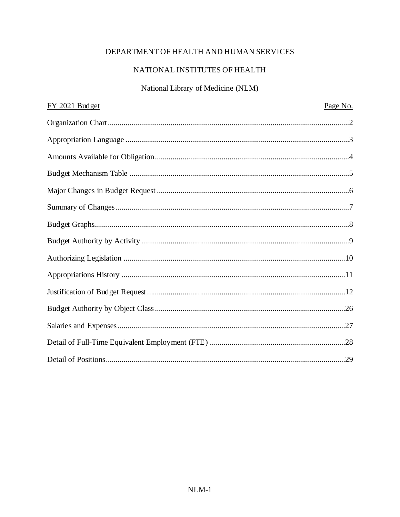# DEPARTMENT OF HEALTH AND HUMAN SERVICES

# NATIONAL INSTITUTES OF HEALTH

# National Library of Medicine (NLM)

| FY 2021 Budget | Page No. |
|----------------|----------|
|                |          |
|                |          |
|                |          |
|                |          |
|                |          |
|                |          |
|                |          |
|                |          |
|                |          |
|                |          |
|                |          |
|                |          |
|                |          |
|                |          |
|                |          |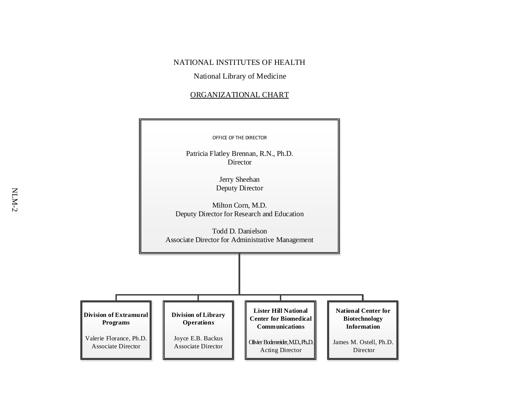## NATIONAL INSTITUTES OF HEALTH

National Library of Medicine

### ORGANIZATIONAL CHART

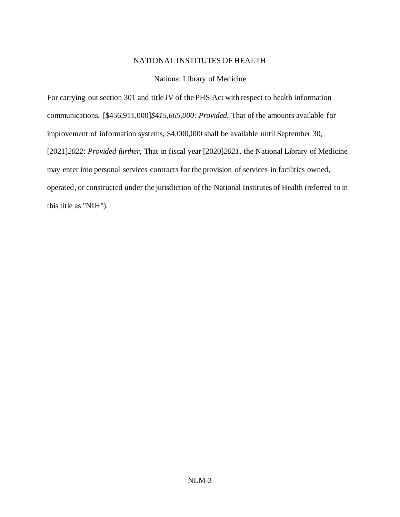### NATIONAL INSTITUTES OF HEALTH

### National Library of Medicine

For carrying out section 301 and title IV of the PHS Act with respect to health information communications, [\$456,911,000]*\$415,665,000*: *Provided*, That of the amounts available for improvement of information systems, \$4,000,000 shall be available until September 30, [2021]*2022*: *Provided further*, That in fiscal year [2020]*2021*, the National Library of Medicine may enter into personal services contracts for the provision of services in facilities owned, operated, or constructed under the jurisdiction of the National Institutes of Health (referred to in this title as "NIH").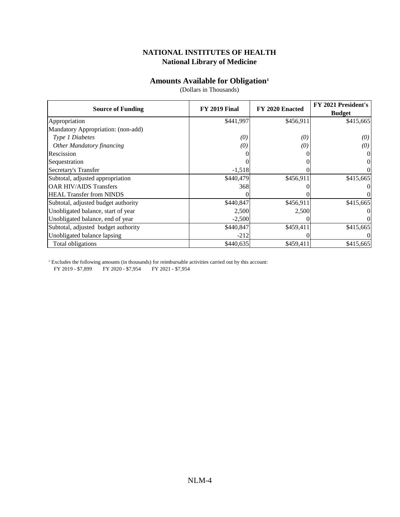## **Amounts Available for Obligation<sup>1</sup>**

(Dollars in Thousands)

| <b>Source of Funding</b>            | <b>FY 2019 Final</b> | FY 2020 Enacted | FY 2021 President's<br><b>Budget</b> |  |
|-------------------------------------|----------------------|-----------------|--------------------------------------|--|
| Appropriation                       | \$441,997            | \$456,911       | \$415,665                            |  |
| Mandatory Appropriation: (non-add)  |                      |                 |                                      |  |
| Type 1 Diabetes                     | (0)                  | (0)             | (0)                                  |  |
| <b>Other Mandatory financing</b>    | (0)                  | (0)             | (0)                                  |  |
| Rescission                          |                      |                 |                                      |  |
| Sequestration                       |                      |                 |                                      |  |
| Secretary's Transfer                | $-1,518$             |                 |                                      |  |
| Subtotal, adjusted appropriation    | \$440,479            | \$456,911       | \$415,665                            |  |
| <b>OAR HIV/AIDS Transfers</b>       | 368                  |                 |                                      |  |
| <b>HEAL Transfer from NINDS</b>     |                      |                 |                                      |  |
| Subtotal, adjusted budget authority | \$440,847            | \$456,911       | \$415,665                            |  |
| Unobligated balance, start of year  | 2,500                | 2,500           |                                      |  |
| Unobligated balance, end of year    | $-2,500$             |                 |                                      |  |
| Subtotal, adjusted budget authority | \$440,847            | \$459,411       | \$415,665                            |  |
| Unobligated balance lapsing         | $-212$               |                 |                                      |  |
| Total obligations                   | \$440,635            | \$459,411       | \$415,665                            |  |

<sup>1</sup> Excludes the following amounts (in thousands) for reimbursable activities carried out by this account:

FY 2019 - \$7,899 FY 2020 - \$7,954 FY 2021 - \$7,954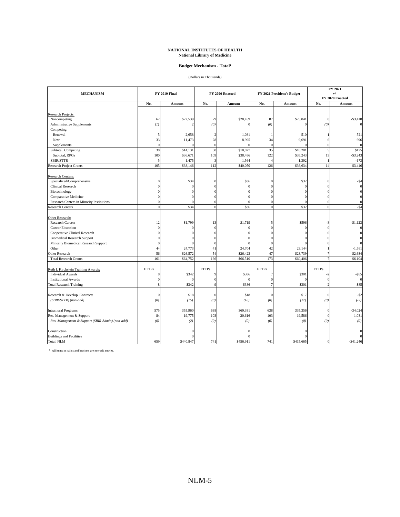#### Budget Mechanism - Total<sup>1</sup>

(Dollars in Thousands)

|                                                  |                         |                      | FY 2021      |                 |                |                            |              |                          |
|--------------------------------------------------|-------------------------|----------------------|--------------|-----------------|----------------|----------------------------|--------------|--------------------------|
| <b>MECHANISM</b>                                 |                         | <b>FY 2019 Final</b> |              | FY 2020 Enacted |                | FY 2021 President's Budget |              | $+/-$<br>FY 2020 Enacted |
|                                                  | No.                     | Amount               | No.          | Amount          | No.            | Amount                     |              | Amount                   |
|                                                  |                         |                      |              |                 |                |                            |              |                          |
| Research Projects:                               |                         |                      |              |                 |                |                            |              |                          |
| Noncompeting                                     | 62                      | \$22,539             | 79           | \$28,459        | 87             | \$25,041                   |              | $- $3,418$               |
| <b>Administrative Supplements</b>                | (1)                     |                      | (0)          |                 | (0)            |                            | (0)          |                          |
| Competing:                                       |                         |                      |              |                 |                |                            |              |                          |
| Renewal                                          | 5                       | 2,658                |              | 1,031           |                | 510                        |              | $-521$                   |
| New                                              | 33                      | 11,473               | 28           | 8,995           | 34             | 9,691                      |              | 696                      |
| Supplements                                      | $\overline{0}$          |                      | $\sqrt{ }$   |                 | $\Omega$       |                            |              |                          |
| Subtotal, Competing                              | 38                      | \$14,131             | 30           | \$10,027        | 35             | \$10,201                   | $\mathbf{5}$ | \$175                    |
| Subtotal, RPGs                                   | 100                     | \$36,67              | 109          | \$38,486        | 122            | \$35,243                   | 13           | $-$ \$3,243              |
| SBIR/STTR                                        | 5                       | 1,475                | r,           | 1,564           | $\Delta$       | 1,392                      |              | $-173$                   |
| <b>Research Project Grants</b>                   | 105                     | \$38,146             | 112          | \$40,050        | 126            | \$36,634                   | 14           | $- $3,416$               |
| Research Centers:                                |                         |                      |              |                 |                |                            |              |                          |
| Specialized/Comprehensive                        |                         | \$34                 |              | \$36            |                | \$32                       |              | -\$4                     |
| Clinical Research                                |                         |                      |              |                 |                |                            |              |                          |
| Biotechnology                                    |                         |                      |              |                 |                |                            |              |                          |
| Comparative Medicine                             |                         |                      |              |                 |                |                            |              |                          |
| Research Centers in Minority Institutions        |                         |                      |              |                 | $\Omega$       |                            |              |                          |
| <b>Research Centers</b>                          | $\mathbf{0}$            | \$34                 | $\Omega$     | \$36            | $\mathbf{0}$   | \$32                       | $\Omega$     | $-$ \$4                  |
|                                                  |                         |                      |              |                 |                |                            |              |                          |
| Other Research:                                  |                         |                      |              |                 |                |                            |              |                          |
| <b>Research Careers</b>                          | 12                      | \$1,799              | 13           | \$1,719         |                | \$596                      |              | $-$1,123$                |
| <b>Cancer Education</b>                          |                         |                      |              |                 |                |                            |              |                          |
| Cooperative Clinical Research                    |                         |                      |              |                 |                |                            |              |                          |
| <b>Biomedical Research Support</b>               |                         |                      |              |                 |                |                            |              |                          |
| Minority Biomedical Research Support             |                         |                      |              |                 |                |                            |              |                          |
| Other                                            | 44                      | 24,773               | 41           | 24,704          | 42             | 23,144                     |              | $-1,561$                 |
| Other Research                                   | 56                      | \$26,57              | 54           | \$26,423        | 47             | \$23,739                   | $-7$         | $-$ \$2,684              |
| <b>Total Research Grants</b>                     | 161                     | \$64,752             | 166          | \$66,510        | 173            | \$60,406                   |              | $-$6,104$                |
|                                                  |                         |                      |              |                 |                |                            |              |                          |
| Ruth L Kirchstein Training Awards:               | <b>FTTPs</b>            |                      | <b>FTTPs</b> |                 | <b>FTTPs</b>   |                            | <b>FTTPs</b> |                          |
| <b>Individual Awards</b>                         |                         | \$342                |              | \$386           |                | \$301                      |              | $-$ \$85                 |
| <b>Institutional Awards</b>                      |                         |                      |              |                 | $\Omega$       |                            | $\Omega$     |                          |
| <b>Total Research Training</b>                   | $\overline{\mathbf{8}}$ | \$342                | $\mathbf Q$  | \$386           | $\overline{7}$ | \$301                      | $-2$         | $-$ \$85                 |
| Research & Develop. Contracts                    | $\Omega$                | \$18                 | $\Omega$     | \$18            | $\theta$       | \$17                       | $\Omega$     | $-$ \$2                  |
| (SBIR/STTR) (non-add)                            | (0)                     | (15)                 | (0)          | (18)            | (0)            | (17)                       | (0)          | $(-2)$                   |
|                                                  |                         |                      |              |                 |                |                            |              |                          |
| <b>Intramural Programs</b>                       | 575                     | 355,960              | 638          | 369,381         | 638            | 335,356                    |              | $-34,024$                |
| Res. Management & Support                        | 84                      | 19,775               | 103          | 20,616          | 103            | 19,586                     |              | $-1,031$                 |
| Res. Management & Support (SBIR Admin) (non-add) | (0)                     | (2)                  | (0)          | (0)             | (0)            | (0)                        | (0)          | (0)                      |
| Construction                                     |                         |                      |              |                 |                |                            |              |                          |
| <b>Buildings and Facilities</b>                  |                         |                      |              |                 |                |                            |              |                          |
| Total, NLM                                       | 659                     | \$440,847            | 741          | \$456,911       | 741            | \$415,665                  | $\Omega$     | $-$41,246$               |

 $^{\rm 1}~$  All items in italics and brackets are non-add entries.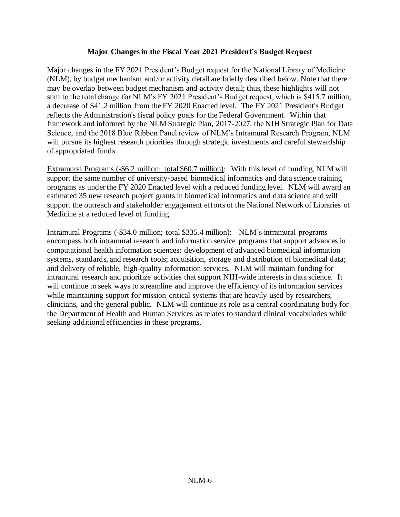## **Major Changes in the Fiscal Year 2021 President's Budget Request**

Major changes in the FY 2021 President's Budget request for the National Library of Medicine (NLM), by budget mechanism and/or activity detail are briefly described below. Note that there may be overlap between budget mechanism and activity detail; thus, these highlights will not sum to the total change for NLM's FY 2021 President's Budget request, which is \$415.7 million, a decrease of \$41.2 million from the FY 2020 Enacted level. The FY 2021 President's Budget reflects the Administration's fiscal policy goals for the Federal Government. Within that framework and informed by the NLM Strategic Plan, 2017-2027, the NIH Strategic Plan for Data Science, and the 2018 Blue Ribbon Panel review of NLM's Intramural Research Program, NLM will pursue its highest research priorities through strategic investments and careful stewardship of appropriated funds.

Extramural Programs (-\$6.2 million; total \$60.7 million): With this level of funding, NLM will support the same number of university-based biomedical informatics and data science training programs as under the FY 2020 Enacted level with a reduced funding level. NLM will award an estimated 35 new research project grants in biomedical informatics and data science and will support the outreach and stakeholder engagement efforts of the National Network of Libraries of Medicine at a reduced level of funding.

Intramural Programs (-\$34.0 million; total \$335.4 million): NLM's intramural programs encompass both intramural research and information service programs that support advances in computational health information sciences; development of advanced biomedical information systems, standards, and research tools; acquisition, storage and distribution of biomedical data; and delivery of reliable, high-quality information services. NLM will maintain funding for intramural research and prioritize activities that support NIH-wide interests in data science. It will continue to seek ways to streamline and improve the efficiency of its information services while maintaining support for mission critical systems that are heavily used by researchers, clinicians, and the general public. NLM will continue its role as a central coordinating body for the Department of Health and Human Services as relates to standard clinical vocabularies while seeking additional efficiencies in these programs.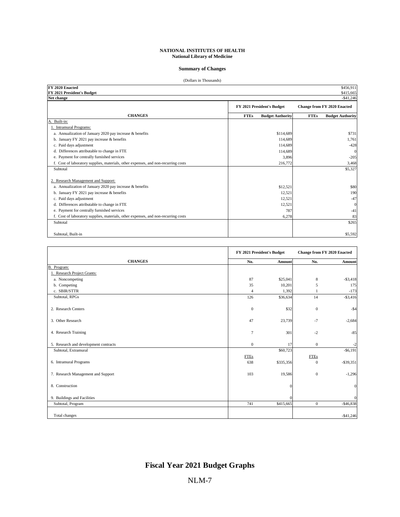#### **Summary of Changes**

| (Dollars in Thousands)                                                             |             |                            |             |                                    |
|------------------------------------------------------------------------------------|-------------|----------------------------|-------------|------------------------------------|
| FY 2020 Enacted                                                                    |             |                            |             | \$456.911                          |
| FY 2021 President's Budget                                                         |             |                            |             | \$415,665                          |
| Net change                                                                         |             |                            |             | $-$ \$41,246                       |
|                                                                                    |             | FY 2021 President's Budget |             | <b>Change from FY 2020 Enacted</b> |
| <b>CHANGES</b>                                                                     | <b>FTEs</b> | <b>Budget Authority</b>    | <b>FTEs</b> | <b>Budget Authority</b>            |
| Built-in:<br>A.                                                                    |             |                            |             |                                    |
| 1. Intramural Programs:                                                            |             |                            |             |                                    |
| a. Annualization of January 2020 pay increase & benefits                           |             | \$114,689                  |             | \$731                              |
| b. January FY 2021 pay increase & benefits                                         |             | 114,689                    |             | 1,761                              |
| c. Paid days adjustment                                                            |             | 114,689                    |             | $-428$                             |
| d. Differences attributable to change in FTE                                       |             | 114,689                    |             | $\Omega$                           |
| e. Payment for centrally furnished services                                        |             | 3,896                      |             | $-205$                             |
| f. Cost of laboratory supplies, materials, other expenses, and non-recurring costs |             | 216,772                    |             | 3,468                              |
| Subtotal                                                                           |             |                            |             | \$5,327                            |
|                                                                                    |             |                            |             |                                    |
| 2. Research Management and Support:                                                |             |                            |             |                                    |
| a. Annualization of January 2020 pay increase & benefits                           |             | \$12,521                   |             | \$80                               |
| b. January FY 2021 pay increase & benefits                                         |             | 12,521                     |             | 190                                |
| c. Paid days adjustment                                                            |             | 12,521                     |             | $-47$                              |
| d. Differences attributable to change in FTE                                       |             | 12,521                     |             | $\theta$                           |
| e. Payment for centrally furnished services                                        |             | 787                        |             | $-41$                              |
| f. Cost of laboratory supplies, materials, other expenses, and non-recurring costs |             | 6,278                      |             | 83                                 |
| Subtotal                                                                           |             |                            |             | \$265                              |
|                                                                                    |             |                            |             |                                    |
| Subtotal, Built-in                                                                 |             |                            |             | \$5,592                            |

|                                       | FY 2021 President's Budget |           | <b>Change from FY 2020 Enacted</b> |                  |  |
|---------------------------------------|----------------------------|-----------|------------------------------------|------------------|--|
| <b>CHANGES</b>                        | No.                        | Amount    | No.                                | Amount           |  |
| <b>B.</b><br>Program:                 |                            |           |                                    |                  |  |
| 1. Research Project Grants:           |                            |           |                                    |                  |  |
| a. Noncompeting                       | 87                         | \$25,041  | 8                                  | $- $3,418$       |  |
| b. Competing                          | 35                         | 10,201    | 5                                  | 175              |  |
| c. SBIR/STTR                          | $\overline{4}$             | 1,392     |                                    | $-173$           |  |
| Subtotal, RPGs                        | 126                        | \$36,634  | 14                                 | $-$ \$3,416      |  |
|                                       |                            |           |                                    |                  |  |
| 2. Research Centers                   | $\boldsymbol{0}$           | \$32      | $\mathbf{0}$                       | $-$ \$4          |  |
|                                       |                            |           |                                    |                  |  |
| 3. Other Research                     | 47                         | 23,739    | $-7$                               | $-2,684$         |  |
|                                       |                            |           |                                    |                  |  |
| 4. Research Training                  | 7                          | 301       | $-2$                               | $-85$            |  |
| 5. Research and development contracts | $\mathbf{0}$               | 17        | $\overline{0}$                     | $-2$             |  |
| Subtotal, Extramural                  |                            | \$60,723  |                                    | $-$6,191$        |  |
|                                       | <b>FTEs</b>                |           | <b>FTEs</b>                        |                  |  |
| 6. Intramural Programs                | 638                        | \$335,356 | $\boldsymbol{0}$                   | $-$ \$39,351     |  |
|                                       |                            |           |                                    |                  |  |
| 7. Research Management and Support    | 103                        | 19,586    | $\mathbf{0}$                       | $-1,296$         |  |
|                                       |                            |           |                                    |                  |  |
| 8. Construction                       |                            |           |                                    | $\boldsymbol{0}$ |  |
|                                       |                            |           |                                    |                  |  |
| 9. Buildings and Facilities           |                            | $\Omega$  |                                    | $\theta$         |  |
| Subtotal, Program                     | 741                        | \$415,665 | $\overline{0}$                     | $-$ \$46,838     |  |
|                                       |                            |           |                                    |                  |  |
| Total changes                         |                            |           |                                    | $-$ \$41,246     |  |

# **Fiscal Year 2021 Budget Graphs**

## NLM-7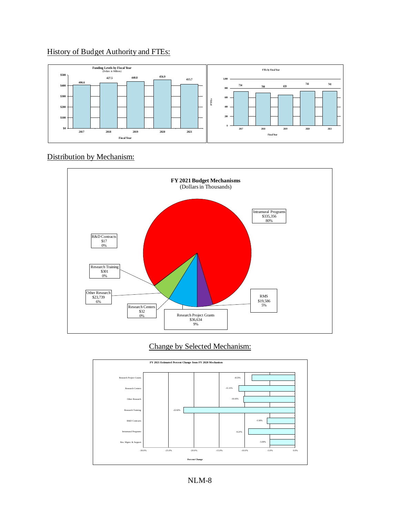## History of Budget Authority and FTEs:



## Distribution by Mechanism:



# Change by Selected Mechanism:

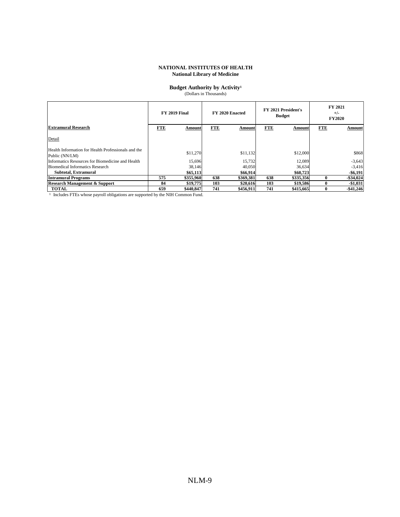#### **Budget Authority by Activity<sup>1</sup>**

(Dollars in Thousands)

|                                                                       | <b>FY 2019 Final</b> |           | FY 2020 Enacted |           | FY 2021 President's<br><b>Budget</b> |           | FY 2021<br>$+/-$<br><b>FY2020</b> |              |
|-----------------------------------------------------------------------|----------------------|-----------|-----------------|-----------|--------------------------------------|-----------|-----------------------------------|--------------|
| <b>Extramural Research</b>                                            | <b>FTE</b>           | Amount    | <b>FTE</b>      | Amount    | <b>FTE</b>                           | Amount    | <b>FTE</b>                        | Amount       |
| Detail                                                                |                      |           |                 |           |                                      |           |                                   |              |
| Health Information for Health Professionals and the<br>Public (NN/LM) |                      | \$11,270  |                 | \$11,132  |                                      | \$12,000  |                                   | \$868        |
| Informatics Resources for Biomedicine and Health                      |                      | 15,696    |                 | 15.732    |                                      | 12.089    |                                   | $-3,643$     |
| <b>Biomedical Informatics Research</b>                                |                      | 38,146    |                 | 40,050    |                                      | 36,634    |                                   | $-3,416$     |
| Subtotal, Extramural                                                  |                      | \$65,113  |                 | \$66,914  |                                      | \$60,723  |                                   | $-$ \$6,191  |
| <b>Intramural Programs</b>                                            | 575                  | \$355,960 | 638             | \$369,381 | 638                                  | \$335,356 | $\mathbf{0}$                      | $-$ \$34,024 |
| <b>Research Management &amp; Support</b>                              | 84                   | \$19,775  | 103             | \$20,616  | 103                                  | \$19,586  | 0                                 | $-$1,031$    |
| <b>TOTAL</b>                                                          | 659                  | \$440,847 | 741             | \$456,911 | 741                                  | \$415,665 | 0                                 | $-$ \$41,246 |

<sup>1</sup> Includes FTEs whose payroll obligations are supported by the NIH Common Fund.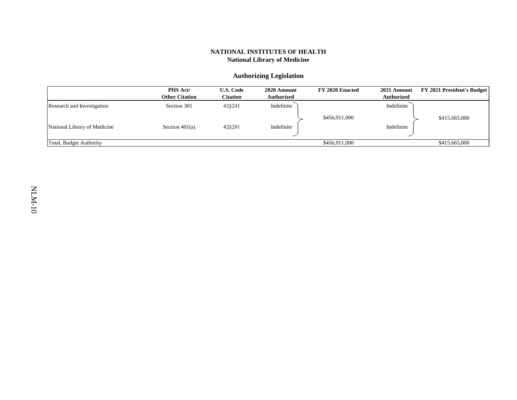## **Authorizing Legislation**

|                              | PHS Act/<br><b>Other Citation</b> | <b>U.S. Code</b><br><b>Citation</b> | 2020 Amount<br><b>Authorized</b> | FY 2020 Enacted | 2021 Amount<br><b>Authorized</b> | <b>FY 2021 President's Budget</b> |
|------------------------------|-----------------------------------|-------------------------------------|----------------------------------|-----------------|----------------------------------|-----------------------------------|
| Research and Investigation   | Section 301                       | 42§241                              | Indefinite                       |                 | Indefinite                       |                                   |
|                              |                                   |                                     |                                  | \$456,911,000   |                                  | \$415,665,000                     |
| National Library of Medicine | Section $401(a)$                  | 428281                              | Indefinite                       |                 | Indefinite                       |                                   |
|                              |                                   |                                     |                                  |                 |                                  |                                   |
| Total, Budget Authority      |                                   |                                     |                                  | \$456,911,000   |                                  | \$415,665,000                     |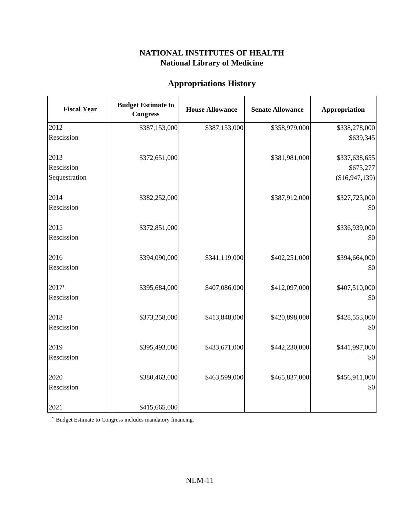# **Appropriations History**

| <b>Fiscal Year</b> | <b>Budget Estimate to</b><br><b>Congress</b> | <b>House Allowance</b> | <b>Senate Allowance</b> | <b>Appropriation</b> |
|--------------------|----------------------------------------------|------------------------|-------------------------|----------------------|
| 2012               | \$387,153,000                                | \$387,153,000          | \$358,979,000           | \$338,278,000        |
| Rescission         |                                              |                        |                         | \$639,345            |
| 2013               | \$372,651,000                                |                        | \$381,981,000           | \$337,638,655        |
| Rescission         |                                              |                        |                         | \$675,277            |
| Sequestration      |                                              |                        |                         | (\$16,947,139)       |
| 2014               | \$382,252,000                                |                        | \$387,912,000           | \$327,723,000        |
| Rescission         |                                              |                        |                         | \$0                  |
| 2015               | \$372,851,000                                |                        |                         | \$336,939,000        |
| Rescission         |                                              |                        |                         | \$0                  |
| 2016               | \$394,090,000                                | \$341,119,000          | \$402,251,000           | \$394,664,000        |
| Rescission         |                                              |                        |                         | \$0                  |
| 2017 <sup>1</sup>  | \$395,684,000                                | \$407,086,000          | \$412,097,000           | \$407,510,000        |
| Rescission         |                                              |                        |                         | \$0                  |
| 2018               | \$373,258,000                                | \$413,848,000          | \$420,898,000           | \$428,553,000        |
| Rescission         |                                              |                        |                         | \$0                  |
| 2019               | \$395,493,000                                | \$433,671,000          | \$442,230,000           | \$441,997,000        |
| Rescission         |                                              |                        |                         | \$0                  |
| 2020               | \$380,463,000                                | \$463,599,000          | \$465,837,000           | \$456,911,000        |
| Rescission         |                                              |                        |                         | $\$0$                |
| 2021               | \$415,665,000                                |                        |                         |                      |

<sup>1</sup> Budget Estimate to Congress includes mandatory financing.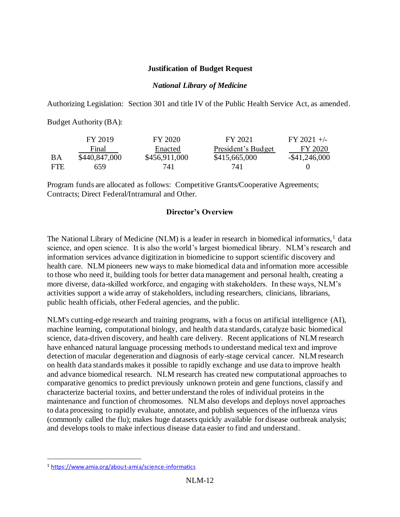## **Justification of Budget Request**

## *National Library of Medicine*

Authorizing Legislation: Section 301 and title IV of the Public Health Service Act, as amended.

Budget Authority (BA):

|            | FY 2019       | FY 2020       | FY 2021            | $FY$ 2021 +/-    |
|------------|---------------|---------------|--------------------|------------------|
|            | Final         | Enacted       | President's Budget | FY 2020          |
| ВA         | \$440,847,000 | \$456,911,000 | \$415,665,000      | $-$ \$41,246,000 |
| <b>FTE</b> | 659           | 741           | 741                |                  |

Program funds are allocated as follows: Competitive Grants/Cooperative Agreements; Contracts; Direct Federal/Intramural and Other.

## **Director's Overview**

The National Library of Medicine (NLM) is a leader in research in biomedical informatics,  $1$  data science, and open science. It is also the world's largest biomedical library. NLM's research and information services advance digitization in biomedicine to support scientific discovery and health care. NLM pioneers new ways to make biomedical data and information more accessible to those who need it, building tools for better data management and personal health, creating a more diverse, data-skilled workforce, and engaging with stakeholders. In these ways, NLM's activities support a wide array of stakeholders, including researchers, clinicians, librarians, public health officials, other Federal agencies, and the public.

NLM's cutting-edge research and training programs, with a focus on artificial intelligence (AI), machine learning, computational biology, and health data standards, catalyze basic biomedical science, data-driven discovery, and health care delivery. Recent applications of NLM research have enhanced natural language processing methods to understand medical text and improve detection of macular degeneration and diagnosis of early-stage cervical cancer. NLM research on health data standards makes it possible to rapidly exchange and use data to improve health and advance biomedical research. NLM research has created new computational approaches to comparative genomics to predict previously unknown protein and gene functions, classify and characterize bacterial toxins, and better understand the roles of individual proteins in the maintenance and function of chromosomes. NLM also develops and deploys novel approaches to data processing to rapidly evaluate, annotate, and publish sequences of the influenza virus (commonly called the flu); makes huge datasets quickly available for disease outbreak analysis; and develops tools to make infectious disease data easier to find and understand.

<sup>1</sup> <https://www.amia.org/about-amia/science-informatics>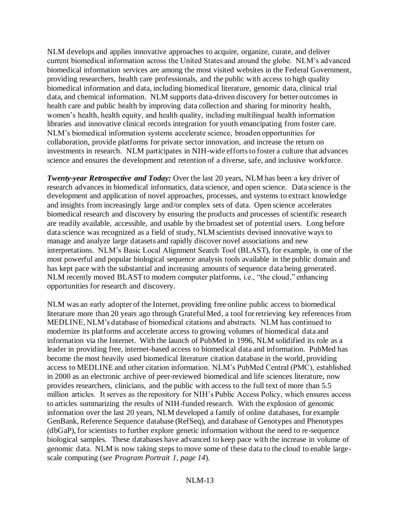NLM develops and applies innovative approaches to acquire, organize, curate, and deliver current biomedical information across the United States and around the globe. NLM's advanced biomedical information services are among the most visited websites in the Federal Government, providing researchers, health care professionals, and the public with access to high quality biomedical information and data, including biomedical literature, genomic data, clinical trial data, and chemical information. NLM supports data-driven discovery for better outcomes in health care and public health by improving data collection and sharing for minority health, women's health, health equity, and health quality, including multilingual health information libraries and innovative clinical records integration for youth emancipating from foster care. NLM's biomedical information systems accelerate science, broaden opportunities for collaboration, provide platforms for private sector innovation, and increase the return on investments in research. NLM participates in NIH-wide efforts to foster a culture that advances science and ensures the development and retention of a diverse, safe, and inclusive workforce.

*Twenty-year Retrospective and Today:* Over the last 20 years, NLM has been a key driver of research advances in biomedical informatics, data science, and open science. Data science is the development and application of novel approaches, processes, and systems to extract knowledge and insights from increasingly large and/or complex sets of data. Open science accelerates biomedical research and discovery by ensuring the products and processes of scientific research are readily available, accessible, and usable by the broadest set of potential users. Long before data science was recognized as a field of study, NLM scientists devised innovative ways to manage and analyze large datasets and rapidly discover novel associations and new interpretations. NLM's Basic Local Alignment Search Tool (BLAST), for example, is one of the most powerful and popular biological sequence analysis tools available in the public domain and has kept pace with the substantial and increasing amounts of sequence data being generated. NLM recently moved BLAST to modern computer platforms, i.e., "the cloud," enhancing opportunities for research and discovery.

NLM was an early adopter of the Internet, providing free online public access to biomedical literature more than 20 years ago through Grateful Med, a tool for retrieving key references from MEDLINE, NLM's database of biomedical citations and abstracts. NLM has continued to modernize its platforms and accelerate access to growing volumes of biomedical data and information via the Internet. With the launch of PubMed in 1996, NLM solidified its role as a leader in providing free, internet-based access to biomedical data and information. PubMed has become the most heavily used biomedical literature citation database in the world, providing access to MEDLINE and other citation information. NLM's PubMed Central (PMC), established in 2000 as an electronic archive of peer-reviewed biomedical and life sciences literature, now provides researchers, clinicians, and the public with access to the full text of more than 5.5 million articles. It serves as the repository for NIH's Public Access Policy, which ensures access to articles summarizing the results of NIH-funded research. With the explosion of genomic information over the last 20 years, NLM developed a family of online databases, for example GenBank, Reference Sequence database (RefSeq), and database of Genotypes and Phenotypes (dbGaP), for scientists to further explore genetic information without the need to re-sequence biological samples. These databases have advanced to keep pace with the increase in volume of genomic data. NLM is now taking steps to move some of these data to the cloud to enable largescale computing (*see Program Portrait 1, page 14*).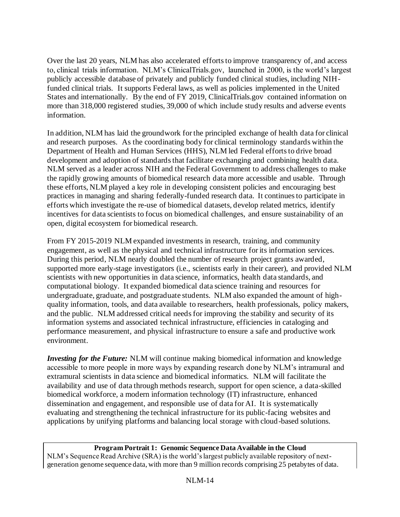Over the last 20 years, NLM has also accelerated efforts to improve transparency of, and access to, clinical trials information. NLM's ClinicalTrials.gov, launched in 2000, is the world's largest publicly accessible database of privately and publicly funded clinical studies, including NIHfunded clinical trials. It supports Federal laws, as well as policies implemented in the United States and internationally. By the end of FY 2019, ClinicalTrials.gov contained information on more than 318,000 registered studies, 39,000 of which include study results and adverse events information.

In addition, NLM has laid the groundwork for the principled exchange of health data for clinical and research purposes. As the coordinating body for clinical terminology standards within the Department of Health and Human Services (HHS), NLM led Federal efforts to drive broad development and adoption of standards that facilitate exchanging and combining health data. NLM served as a leader across NIH and the Federal Government to address challenges to make the rapidly growing amounts of biomedical research data more accessible and usable. Through these efforts, NLM played a key role in developing consistent policies and encouraging best practices in managing and sharing federally-funded research data. It continues to participate in efforts which investigate the re-use of biomedical datasets, develop related metrics, identify incentives for data scientists to focus on biomedical challenges, and ensure sustainability of an open, digital ecosystem for biomedical research.

From FY 2015-2019 NLM expanded investments in research, training, and community engagement, as well as the physical and technical infrastructure for its information services. During this period, NLM nearly doubled the number of research project grants awarded, supported more early-stage investigators (i.e., scientists early in their career), and provided NLM scientists with new opportunities in data science, informatics, health data standards, and computational biology. It expanded biomedical data science training and resources for undergraduate, graduate, and postgraduate students. NLM also expanded the amount of highquality information, tools, and data available to researchers, health professionals, policy makers, and the public. NLM addressed critical needs for improving the stability and security of its information systems and associated technical infrastructure, efficiencies in cataloging and performance measurement, and physical infrastructure to ensure a safe and productive work environment.

*Investing for the Future:* NLM will continue making biomedical information and knowledge accessible to more people in more ways by expanding research done by NLM's intramural and extramural scientists in data science and biomedical informatics. NLM will facilitate the availability and use of data through methods research, support for open science, a data-skilled biomedical workforce, a modern information technology (IT) infrastructure, enhanced dissemination and engagement, and responsible use of data for AI. It is systematically evaluating and strengthening the technical infrastructure for its public-facing websites and applications by unifying platforms and balancing local storage with cloud-based solutions.

### **Program Portrait 1: Genomic Sequence Data Available in the Cloud**

NLM's Sequence Read Archive (SRA) is the world's largest publicly available repository of nextgeneration genome sequence data, with more than 9 million records comprising 25 petabytes of data.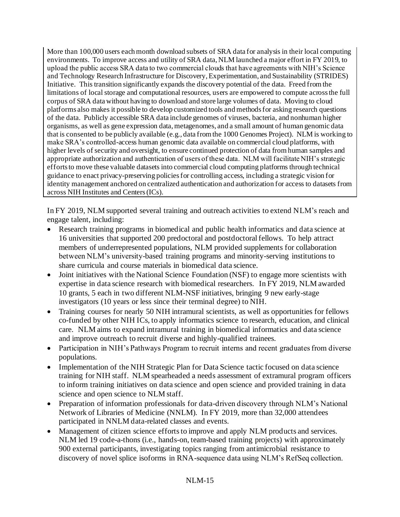More than 100,000 users each month download subsets of SRA data for analysis in their local computing environments. To improve access and utility of SRA data, NLM launched a major effort in FY 2019, to upload the public access SRA data to two commercial clouds that have agreements with NIH's Science and Technology Research Infrastructure for Discovery, Experimentation, and Sustainability (STRIDES) Initiative. This transition significantly expands the discovery potential of the data. Freed from the limitations of local storage and computational resources, users are empowered to compute across the full corpus of SRA data without having to download and store large volumes of data. Moving to cloud platforms also makes it possible to develop customized tools and methods for asking research questions of the data. Publicly accessible SRA data include genomes of viruses, bacteria, and nonhuman higher organisms, as well as gene expression data, metagenomes, and a small amount of human genomic data that is consented to be publicly available (e.g., data from the 1000 Genomes Project). NLM is working to make SRA's controlled-access human genomic data available on commercial cloud platforms, with higher levels of security and oversight, to ensure continued protection of data from human samples and appropriate authorization and authentication of users of these data. NLM will facilitate NIH's strategic efforts to move these valuable datasets into commercial cloud computing platforms through technical guidance to enact privacy-preserving policies for controlling access, including a strategic vision for identity management anchored on centralized authentication and authorization for access to datasets from across NIH Institutes and Centers (ICs).

In FY 2019, NLM supported several training and outreach activities to extend NLM's reach and engage talent, including:

- Research training programs in biomedical and public health informatics and data science at 16 universities that supported 200 predoctoral and postdoctoral fellows. To help attract members of underrepresented populations, NLM provided supplements for collaboration between NLM's university-based training programs and minority-serving institutions to share curricula and course materials in biomedical data science.
- Joint initiatives with the National Science Foundation (NSF) to engage more scientists with expertise in data science research with biomedical researchers. In FY 2019, NLM awarded 10 grants, 5 each in two different NLM-NSF initiatives, bringing 9 new early-stage investigators (10 years or less since their terminal degree) to NIH.
- Training courses for nearly 50 NIH intramural scientists, as well as opportunities for fellows co-funded by other NIH ICs, to apply informatics science to research, education, and clinical care. NLM aims to expand intramural training in biomedical informatics and data science and improve outreach to recruit diverse and highly-qualified trainees.
- Participation in NIH's Pathways Program to recruit interns and recent graduates from diverse populations.
- Implementation of the NIH Strategic Plan for Data Science tactic focused on data science training for NIH staff. NLM spearheaded a needs assessment of extramural program officers to inform training initiatives on data science and open science and provided training in data science and open science to NLM staff.
- Preparation of information professionals for data-driven discovery through NLM's National Network of Libraries of Medicine (NNLM). In FY 2019, more than 32,000 attendees participated in NNLM data-related classes and events.
- Management of citizen science efforts to improve and apply NLM products and services. NLM led 19 code-a-thons (i.e., hands-on, team-based training projects) with approximately 900 external participants, investigating topics ranging from antimicrobial resistance to discovery of novel splice isoforms in RNA-sequence data using NLM's RefSeq collection.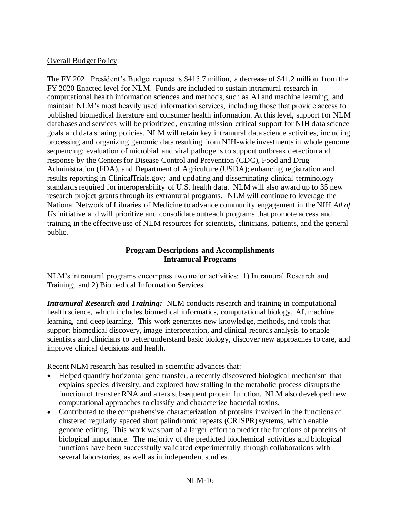## Overall Budget Policy

The FY 2021 President's Budget request is \$415.7 million, a decrease of \$41.2 million from the FY 2020 Enacted level for NLM. Funds are included to sustain intramural research in computational health information sciences and methods, such as AI and machine learning, and maintain NLM's most heavily used information services, including those that provide access to published biomedical literature and consumer health information. At this level, support for NLM databases and services will be prioritized, ensuring mission critical support for NIH data science goals and data sharing policies. NLM will retain key intramural data science activities, including processing and organizing genomic data resulting from NIH-wide investments in whole genome sequencing; evaluation of microbial and viral pathogens to support outbreak detection and response by the Centers for Disease Control and Prevention (CDC), Food and Drug Administration (FDA), and Department of Agriculture (USDA); enhancing registration and results reporting in ClinicalTrials.gov; and updating and disseminating clinical terminology standards required for interoperability of U.S. health data. NLM will also award up to 35 new research project grants through its extramural programs. NLM will continue to leverage the National Network of Libraries of Medicine to advance community engagement in the NIH *All of Us* initiative and will prioritize and consolidate outreach programs that promote access and training in the effective use of NLM resources for scientists, clinicians, patients, and the general public.

## **Program Descriptions and Accomplishments Intramural Programs**

NLM's intramural programs encompass two major activities: 1) Intramural Research and Training; and 2) Biomedical Information Services.

*Intramural Research and Training:* NLM conducts research and training in computational health science, which includes biomedical informatics, computational biology, AI, machine learning, and deep learning. This work generates new knowledge, methods, and tools that support biomedical discovery, image interpretation, and clinical records analysis to enable scientists and clinicians to better understand basic biology, discover new approaches to care, and improve clinical decisions and health.

Recent NLM research has resulted in scientific advances that:

- Helped quantify horizontal gene transfer, a recently discovered biological mechanism that explains species diversity, and explored how stalling in the metabolic process disrupts the function of transfer RNA and alters subsequent protein function. NLM also developed new computational approaches to classify and characterize bacterial toxins.
- Contributed to the comprehensive characterization of proteins involved in the functions of clustered regularly spaced short palindromic repeats (CRISPR) systems, which enable genome editing. This work was part of a larger effort to predict the functions of proteins of biological importance. The majority of the predicted biochemical activities and biological functions have been successfully validated experimentally through collaborations with several laboratories, as well as in independent studies.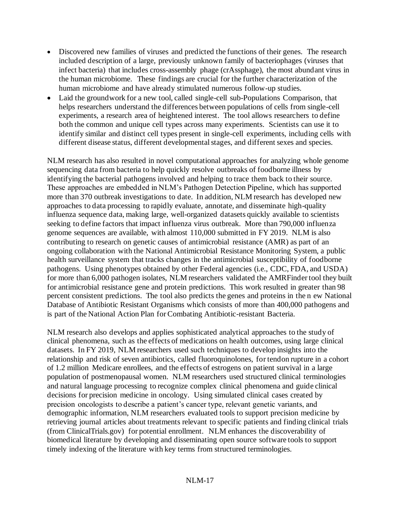- Discovered new families of viruses and predicted the functions of their genes. The research included description of a large, previously unknown family of bacteriophages (viruses that infect bacteria) that includes cross-assembly phage (crAssphage), the most abundant virus in the human microbiome. These findings are crucial for the further characterization of the human microbiome and have already stimulated numerous follow-up studies.
- Laid the groundwork for a new tool, called single-cell sub-Populations Comparison, that helps researchers understand the differences between populations of cells from single-cell experiments, a research area of heightened interest. The tool allows researchers to define both the common and unique cell types across many experiments. Scientists can use it to identify similar and distinct cell types present in single-cell experiments, including cells with different disease status, different developmental stages, and different sexes and species.

NLM research has also resulted in novel computational approaches for analyzing whole genome sequencing data from bacteria to help quickly resolve outbreaks of foodborne illness by identifying the bacterial pathogens involved and helping to trace them back to their source. These approaches are embedded in NLM's Pathogen Detection Pipeline, which has supported more than 370 outbreak investigations to date. In addition, NLM research has developed new approaches to data processing to rapidly evaluate, annotate, and disseminate high-quality influenza sequence data, making large, well-organized datasets quickly available to scientists seeking to define factors that impact influenza virus outbreak. More than 790,000 influenza genome sequences are available, with almost 110,000 submitted in FY 2019. NLM is also contributing to research on genetic causes of antimicrobial resistance (AMR) as part of an ongoing collaboration with the National Antimicrobial Resistance Monitoring System, a public health surveillance system that tracks changes in the antimicrobial susceptibility of foodborne pathogens. Using phenotypes obtained by other Federal agencies (i.e., CDC, FDA, and USDA) for more than 6,000 pathogen isolates, NLM researchers validated the AMRFinder tool they built for antimicrobial resistance gene and protein predictions. This work resulted in greater than 98 percent consistent predictions. The tool also predicts the genes and proteins in the n ew National Database of Antibiotic Resistant Organisms which consists of more than 400,000 pathogens and is part of the National Action Plan for Combating Antibiotic-resistant Bacteria.

NLM research also develops and applies sophisticated analytical approaches to the study of clinical phenomena, such as the effects of medications on health outcomes, using large clinical datasets. In FY 2019, NLM researchers used such techniques to develop insights into the relationship and risk of seven antibiotics, called fluoroquinolones, for tendon rupture in a cohort of 1.2 million Medicare enrollees, and the effects of estrogens on patient survival in a large population of postmenopausal women. NLM researchers used structured clinical terminologies and natural language processing to recognize complex clinical phenomena and guide clinical decisions for precision medicine in oncology. Using simulated clinical cases created by precision oncologists to describe a patient's cancer type, relevant genetic variants, and demographic information, NLM researchers evaluated tools to support precision medicine by retrieving journal articles about treatments relevant to specific patients and finding clinical trials (from ClinicalTrials.gov) for potential enrollment. NLM enhances the discoverability of biomedical literature by developing and disseminating open source software tools to support timely indexing of the literature with key terms from structured terminologies.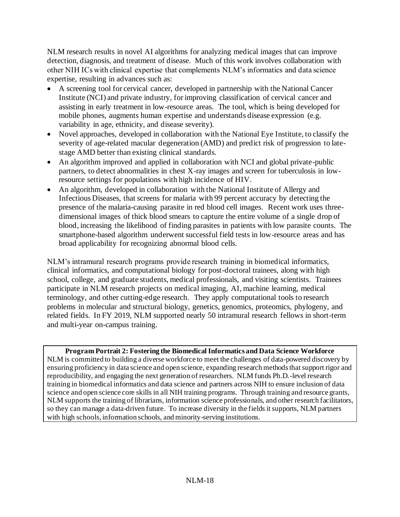NLM research results in novel AI algorithms for analyzing medical images that can improve detection, diagnosis, and treatment of disease. Much of this work involves collaboration with other NIH ICs with clinical expertise that complements NLM's informatics and data science expertise, resulting in advances such as:

- A screening tool for cervical cancer, developed in partnership with the National Cancer Institute (NCI) and private industry, for improving classification of cervical cancer and assisting in early treatment in low-resource areas. The tool, which is being developed for mobile phones, augments human expertise and understands disease expression (e.g. variability in age, ethnicity, and disease severity).
- Novel approaches, developed in collaboration with the National Eye Institute, to classify the severity of age-related macular degeneration (AMD) and predict risk of progression to latestage AMD better than existing clinical standards.
- An algorithm improved and applied in collaboration with NCI and global private-public partners, to detect abnormalities in chest X-ray images and screen for tuberculosis in lowresource settings for populations with high incidence of HIV.
- An algorithm, developed in collaboration with the National Institute of Allergy and Infectious Diseases, that screens for malaria with 99 percent accuracy by detecting the presence of the malaria-causing parasite in red blood cell images. Recent work uses threedimensional images of thick blood smears to capture the entire volume of a single drop of blood, increasing the likelihood of finding parasites in patients with low parasite counts. The smartphone-based algorithm underwent successful field tests in low-resource areas and has broad applicability for recognizing abnormal blood cells.

NLM's intramural research programs provide research training in biomedical informatics, clinical informatics, and computational biology for post-doctoral trainees, along with high school, college, and graduate students, medical professionals, and visiting scientists. Trainees participate in NLM research projects on medical imaging, AI, machine learning, medical terminology, and other cutting-edge research. They apply computational tools to research problems in molecular and structural biology, genetics, genomics, proteomics, phylogeny, and related fields. In FY 2019, NLM supported nearly 50 intramural research fellows in short-term and multi-year on-campus training.

**Program Portrait 2: Fostering the Biomedical Informatics and Data Science Workforce** NLM is committed to building a diverse workforce to meet the challenges of data-powered discovery by ensuring proficiency in data science and open science, expanding research methods that support rigor and reproducibility, and engaging the next generation of researchers. NLM funds Ph.D.-level research training in biomedical informatics and data science and partners across NIH to ensure inclusion of data science and open science core skills in all NIH training programs. Through training and resource grants, NLM supports the training of librarians, information science professionals, and other research facilitators, so they can manage a data-driven future. To increase diversity in the fields it supports, NLM partners with high schools, information schools, and minority-serving institutions.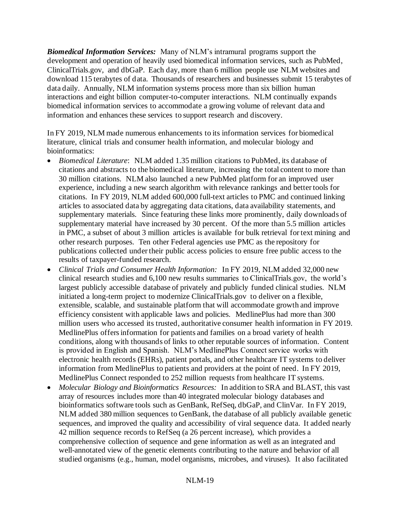*Biomedical Information Services:* Many of NLM's intramural programs support the development and operation of heavily used biomedical information services, such as PubMed, ClinicalTrials.gov, and dbGaP. Each day, more than 6 million people use NLM websites and download 115 terabytes of data. Thousands of researchers and businesses submit 15 terabytes of data daily. Annually, NLM information systems process more than six billion human interactions and eight billion computer-to-computer interactions. NLM continually expands biomedical information services to accommodate a growing volume of relevant data and information and enhances these services to support research and discovery.

In FY 2019, NLM made numerous enhancements to its information services for biomedical literature, clinical trials and consumer health information, and molecular biology and bioinformatics:

- *Biomedical Literature*: NLM added 1.35 million citations to PubMed, its database of citations and abstracts to the biomedical literature, increasing the total content to more than 30 million citations. NLM also launched a new PubMed platform for an improved user experience, including a new search algorithm with relevance rankings and better tools for citations. In FY 2019, NLM added 600,000 full-text articles to PMC and continued linking articles to associated data by aggregating data citations, data availability statements, and supplementary materials. Since featuring these links more prominently, daily downloads of supplementary material have increased by 30 percent. Of the more than 5.5 million articles in PMC, a subset of about 3 million articles is available for bulk retrieval for text mining and other research purposes. Ten other Federal agencies use PMC as the repository for publications collected under their public access policies to ensure free public access to the results of taxpayer-funded research.
- *Clinical Trials and Consumer Health Information:* In FY 2019, NLM added 32,000 new clinical research studies and 6,100 new results summaries to ClinicalTrials.gov, the world's largest publicly accessible database of privately and publicly funded clinical studies. NLM initiated a long-term project to modernize ClinicalTrials.gov to deliver on a flexible, extensible, scalable, and sustainable platform that will accommodate growth and improve efficiency consistent with applicable laws and policies. MedlinePlus had more than 300 million users who accessed its trusted, authoritative consumer health information in FY 2019. MedlinePlus offers information for patients and families on a broad variety of health conditions, along with thousands of links to other reputable sources of information. Content is provided in English and Spanish. NLM's MedlinePlus Connect service works with electronic health records (EHRs), patient portals, and other healthcare IT systems to deliver information from MedlinePlus to patients and providers at the point of need. In FY 2019, MedlinePlus Connect responded to 252 million requests from healthcare IT systems.
- *Molecular Biology and Bioinformatics Resources:* In addition to SRA and BLAST, this vast array of resources includes more than 40 integrated molecular biology databases and bioinformatics software tools such as GenBank, RefSeq, dbGaP, and ClinVar. In FY 2019, NLM added 380 million sequences to GenBank, the database of all publicly available genetic sequences, and improved the quality and accessibility of viral sequence data. It added nearly 42 million sequence records to RefSeq (a 26 percent increase), which provides a comprehensive collection of sequence and gene information as well as an integrated and well-annotated view of the genetic elements contributing to the nature and behavior of all studied organisms (e.g., human, model organisms, microbes, and viruses). It also facilitated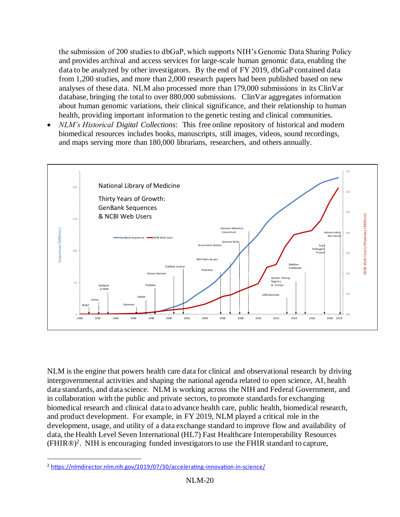the submission of 200 studies to dbGaP, which supports NIH's Genomic Data Sharing Policy and provides archival and access services for large-scale human genomic data, enabling the data to be analyzed by other investigators. By the end of FY 2019, dbGaP contained data from 1,200 studies, and more than 2,000 research papers had been published based on new analyses of these data. NLM also processed more than 179,000 submissions in its ClinVar database, bringing the total to over 880,000 submissions. ClinVar aggregates information about human genomic variations, their clinical significance, and their relationship to human health, providing important information to the genetic testing and clinical communities.

• *NLM's Historical Digital Collections*: This free online repository of historical and modern biomedical resources includes books, manuscripts, still images, videos, sound recordings, and maps serving more than 180,000 librarians, researchers, and others annually.



NLM is the engine that powers health care data for clinical and observational research by driving intergovernmental activities and shaping the national agenda related to open science, AI, health data standards, and data science. NLM is working across the NIH and Federal Government, and in collaboration with the public and private sectors, to promote standards for exchanging biomedical research and clinical data to advance health care, public health, biomedical research, and product development. For example, in FY 2019, NLM played a critical role in the development, usage, and utility of a data exchange standard to improve flow and availability of data, the Health Level Seven International (HL7) Fast Healthcare Interoperability Resources (FHIR®)<sup>2</sup> . NIH is encouraging funded investigators to use the FHIR standard to capture,

<sup>&</sup>lt;sup>2</sup> <https://nlmdirector.nlm.nih.gov/2019/07/30/accelerating-innovation-in-science/>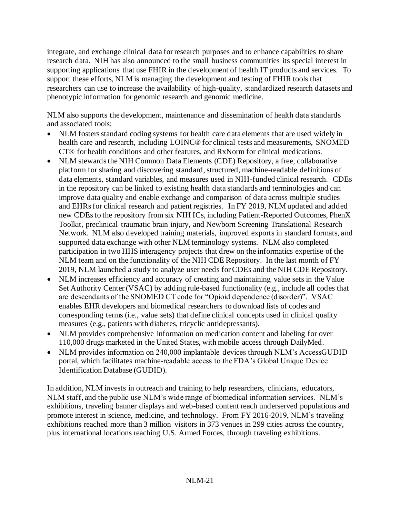integrate, and exchange clinical data for research purposes and to enhance capabilities to share research data. NIH has also announced to the small business communities its special interest in supporting applications that use FHIR in the development of health IT products and services. To support these efforts, NLM is managing the development and testing of FHIR tools that researchers can use to increase the availability of high-quality, standardized research datasets and phenotypic information for genomic research and genomic medicine.

NLM also supports the development, maintenance and dissemination of health data standards and associated tools:

- NLM fosters standard coding systems for health care data elements that are used widely in health care and research, including LOINC® for clinical tests and measurements, SNOMED CT® for health conditions and other features, and RxNorm for clinical medications.
- NLM stewards the NIH Common Data Elements (CDE) Repository, a free, collaborative platform for sharing and discovering standard, structured, machine-readable definitions of data elements, standard variables, and measures used in NIH-funded clinical research. CDEs in the repository can be linked to existing health data standards and terminologies and can improve data quality and enable exchange and comparison of data across multiple studies and EHRs for clinical research and patient registries. In FY 2019, NLM updated and added new CDEs to the repository from six NIH ICs, including Patient-Reported Outcomes, PhenX Toolkit, preclinical traumatic brain injury, and Newborn Screening Translational Research Network. NLM also developed training materials, improved exports in standard formats, and supported data exchange with other NLM terminology systems. NLM also completed participation in two HHS interagency projects that drew on the informatics expertise of the NLM team and on the functionality of the NIH CDE Repository. In the last month of FY 2019, NLM launched a study to analyze user needs for CDEs and the NIH CDE Repository.
- NLM increases efficiency and accuracy of creating and maintaining value sets in the Value Set Authority Center (VSAC) by adding rule-based functionality (e.g., include all codes that are descendants of the SNOMED CT code for "Opioid dependence (disorder)". VSAC enables EHR developers and biomedical researchers to download lists of codes and corresponding terms (i.e., value sets) that define clinical concepts used in clinical quality measures (e.g., patients with diabetes, tricyclic antidepressants).
- NLM provides comprehensive information on medication content and labeling for over 110,000 drugs marketed in the United States, with mobile access through DailyMed.
- NLM provides information on 240,000 implantable devices through NLM's AccessGUDID portal, which facilitates machine-readable access to the FDA's Global Unique Device Identification Database (GUDID).

In addition, NLM invests in outreach and training to help researchers, clinicians, educators, NLM staff, and the public use NLM's wide range of biomedical information services. NLM's exhibitions, traveling banner displays and web-based content reach underserved populations and promote interest in science, medicine, and technology. From FY 2016-2019, NLM's traveling exhibitions reached more than 3 million visitors in 373 venues in 299 cities across the country, plus international locations reaching U.S. Armed Forces, through traveling exhibitions.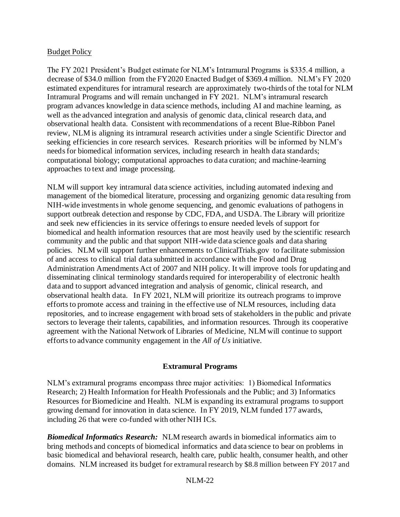## Budget Policy

The FY 2021 President's Budget estimate for NLM's Intramural Programs is \$335.4 million, a decrease of \$34.0 million from the FY2020 Enacted Budget of \$369.4 million. NLM's FY 2020 estimated expenditures for intramural research are approximately two-thirds of the total for NLM Intramural Programs and will remain unchanged in FY 2021. NLM's intramural research program advances knowledge in data science methods, including AI and machine learning, as well as the advanced integration and analysis of genomic data, clinical research data, and observational health data. Consistent with recommendations of a recent Blue-Ribbon Panel review, NLM is aligning its intramural research activities under a single Scientific Director and seeking efficiencies in core research services. Research priorities will be informed by NLM's needs for biomedical information services, including research in health data standards; computational biology; computational approaches to data curation; and machine-learning approaches to text and image processing.

NLM will support key intramural data science activities, including automated indexing and management of the biomedical literature, processing and organizing genomic data resulting from NIH-wide investments in whole genome sequencing, and genomic evaluations of pathogens in support outbreak detection and response by CDC, FDA, and USDA. The Library will prioritize and seek new efficiencies in its service offerings to ensure needed levels of support for biomedical and health information resources that are most heavily used by the scientific research community and the public and that support NIH-wide data science goals and data sharing policies. NLM will support further enhancements to ClinicalTrials.gov to facilitate submission of and access to clinical trial data submitted in accordance with the Food and Drug Administration Amendments Act of 2007 and NIH policy. It will improve tools for updating and disseminating clinical terminology standards required for interoperability of electronic health data and to support advanced integration and analysis of genomic, clinical research, and observational health data. In FY 2021, NLM will prioritize its outreach programs to improve efforts to promote access and training in the effective use of NLM resources, including data repositories, and to increase engagement with broad sets of stakeholders in the public and private sectors to leverage their talents, capabilities, and information resources. Through its cooperative agreement with the National Network of Libraries of Medicine, NLM will continue to support efforts to advance community engagement in the *All of Us* initiative.

## **Extramural Programs**

NLM's extramural programs encompass three major activities: 1) Biomedical Informatics Research; 2) Health Information for Health Professionals and the Public; and 3) Informatics Resources for Biomedicine and Health. NLM is expanding its extramural programs to support growing demand for innovation in data science. In FY 2019, NLM funded 177 awards, including 26 that were co-funded with other NIH ICs.

*Biomedical Informatics Research:* NLM research awards in biomedical informatics aim to bring methods and concepts of biomedical informatics and data science to bear on problems in basic biomedical and behavioral research, health care, public health, consumer health, and other domains. NLM increased its budget for extramural research by \$8.8 million between FY 2017 and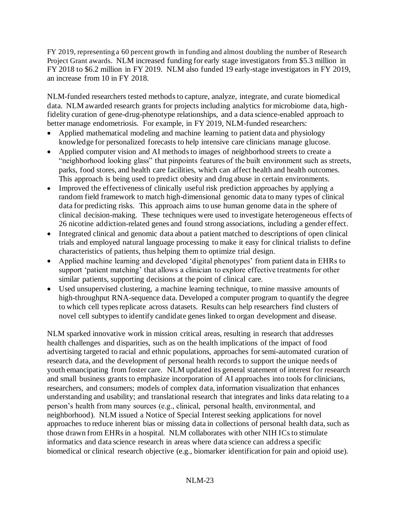FY 2019, representing a 60 percent growth in funding and almost doubling the number of Research Project Grant awards. NLM increased funding for early stage investigators from \$5.3 million in FY 2018 to \$6.2 million in FY 2019. NLM also funded 19 early-stage investigators in FY 2019, an increase from 10 in FY 2018.

NLM-funded researchers tested methods to capture, analyze, integrate, and curate biomedical data. NLM awarded research grants for projects including analytics for microbiome data, highfidelity curation of gene-drug-phenotype relationships, and a data science-enabled approach to better manage endometriosis. For example, in FY 2019, NLM-funded researchers:

- Applied mathematical modeling and machine learning to patient data and physiology knowledge for personalized forecasts to help intensive care clinicians manage glucose.
- Applied computer vision and AI methods to images of neighborhood streets to create a "neighborhood looking glass" that pinpoints features of the built environment such as streets, parks, food stores, and health care facilities, which can affect health and health outcomes. This approach is being used to predict obesity and drug abuse in certain environments.
- Improved the effectiveness of clinically useful risk prediction approaches by applying a random field framework to match high-dimensional genomic data to many types of clinical data for predicting risks. This approach aims to use human genome data in the sphere of clinical decision-making. These techniques were used to investigate heterogeneous effects of 26 nicotine addiction-related genes and found strong associations, including a gender effect.
- Integrated clinical and genomic data about a patient matched to descriptions of open clinical trials and employed natural language processing to make it easy for clinical trialists to define characteristics of patients, thus helping them to optimize trial design.
- Applied machine learning and developed 'digital phenotypes' from patient data in EHRs to support 'patient matching' that allows a clinician to explore effective treatments for other similar patients, supporting decisions at the point of clinical care.
- Used unsupervised clustering, a machine learning technique, to mine massive amounts of high-throughput RNA-sequence data. Developed a computer program to quantify the degree to which cell types replicate across datasets. Results can help researchers find clusters of novel cell subtypes to identify candidate genes linked to organ development and disease.

NLM sparked innovative work in mission critical areas, resulting in research that addresses health challenges and disparities, such as on the health implications of the impact of food advertising targeted to racial and ethnic populations, approaches for semi-automated curation of research data, and the development of personal health records to support the unique needs of youth emancipating from foster care. NLM updated its general statement of interest for research and small business grants to emphasize incorporation of AI approaches into tools for clinicians, researchers, and consumers; models of complex data, information visualization that enhances understanding and usability; and translational research that integrates and links data relating to a person's health from many sources (e.g., clinical, personal health, environmental, and neighborhood). NLM issued a Notice of Special Interest seeking applications for novel approaches to reduce inherent bias or missing data in collections of personal health data, such as those drawn from EHRs in a hospital. NLM collaborates with other NIH ICs to stimulate informatics and data science research in areas where data science can address a specific biomedical or clinical research objective (e.g., biomarker identification for pain and opioid use).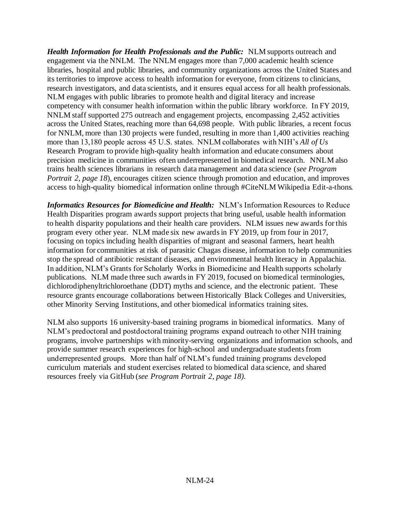*Health Information for Health Professionals and the Public:* NLM supports outreach and engagement via the NNLM. The NNLM engages more than 7,000 academic health science libraries, hospital and public libraries, and community organizations across the United States and its territories to improve access to health information for everyone, from citizens to clinicians, research investigators, and data scientists, and it ensures equal access for all health professionals. NLM engages with public libraries to promote health and digital literacy and increase competency with consumer health information within the public library workforce. In FY 2019, NNLM staff supported 275 outreach and engagement projects, encompassing 2,452 activities across the United States, reaching more than 64,698 people. With public libraries, a recent focus for NNLM, more than 130 projects were funded, resulting in more than 1,400 activities reaching more than 13,180 people across 45 U.S. states. NNLM collaborates with NIH's *All of Us* Research Program to provide high-quality health information and educate consumers about precision medicine in communities often underrepresented in biomedical research. NNLM also trains health sciences librarians in research data management and data science (*see Program Portrait 2, page 18*), encourages citizen science through promotion and education, and improves access to high-quality biomedical information online through #CiteNLM Wikipedia Edit-a-thons.

*Informatics Resources for Biomedicine and Health:* NLM's Information Resources to Reduce Health Disparities program awards support projects that bring useful, usable health information to health disparity populations and their health care providers. NLM issues new awards for this program every other year. NLM made six new awards in FY 2019, up from four in 2017, focusing on topics including health disparities of migrant and seasonal farmers, heart health information for communities at risk of parasitic Chagas disease, information to help communities stop the spread of antibiotic resistant diseases, and environmental health literacy in Appalachia. In addition, NLM's Grants for Scholarly Works in Biomedicine and Health supports scholarly publications. NLM made three such awards in FY 2019, focused on biomedical terminologies, dichlorodiphenyltrichloroethane (DDT) myths and science, and the electronic patient. These resource grants encourage collaborations between Historically Black Colleges and Universities, other Minority Serving Institutions, and other biomedical informatics training sites.

NLM also supports 16 university-based training programs in biomedical informatics. Many of NLM's predoctoral and postdoctoral training programs expand outreach to other NIH training programs, involve partnerships with minority-serving organizations and information schools, and provide summer research experiences for high-school and undergraduate students from underrepresented groups. More than half of NLM's funded training programs developed curriculum materials and student exercises related to biomedical data science, and shared resources freely via GitHub (*see Program Portrait 2, page 18)*.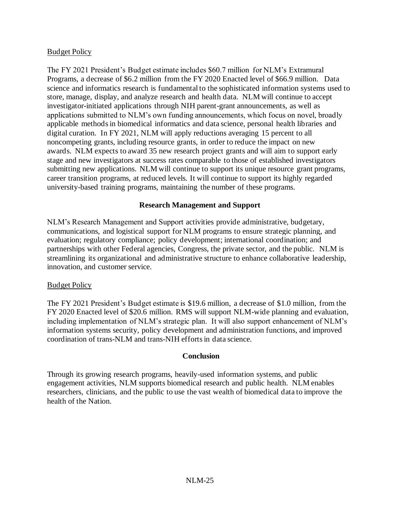## Budget Policy

The FY 2021 President's Budget estimate includes \$60.7 million for NLM's Extramural Programs, a decrease of \$6.2 million from the FY 2020 Enacted level of \$66.9 million. Data science and informatics research is fundamental to the sophisticated information systems used to store, manage, display, and analyze research and health data. NLM will continue to accept investigator-initiated applications through NIH parent-grant announcements, as well as applications submitted to NLM's own funding announcements, which focus on novel, broadly applicable methods in biomedical informatics and data science, personal health libraries and digital curation. In FY 2021, NLM will apply reductions averaging 15 percent to all noncompeting grants, including resource grants, in order to reduce the impact on new awards. NLM expects to award 35 new research project grants and will aim to support early stage and new investigators at success rates comparable to those of established investigators submitting new applications. NLM will continue to support its unique resource grant programs, career transition programs, at reduced levels. It will continue to support its highly regarded university-based training programs, maintaining the number of these programs.

## **Research Management and Support**

NLM's Research Management and Support activities provide administrative, budgetary, communications, and logistical support for NLM programs to ensure strategic planning, and evaluation; regulatory compliance; policy development; international coordination; and partnerships with other Federal agencies, Congress, the private sector, and the public. NLM is streamlining its organizational and administrative structure to enhance collaborative leadership, innovation, and customer service.

## Budget Policy

The FY 2021 President's Budget estimate is \$19.6 million, a decrease of \$1.0 million, from the FY 2020 Enacted level of \$20.6 million. RMS will support NLM-wide planning and evaluation, including implementation of NLM's strategic plan. It will also support enhancement of NLM's information systems security, policy development and administration functions, and improved coordination of trans-NLM and trans-NIH efforts in data science.

## **Conclusion**

Through its growing research programs, heavily-used information systems, and public engagement activities, NLM supports biomedical research and public health. NLM enables researchers, clinicians, and the public to use the vast wealth of biomedical data to improve the health of the Nation.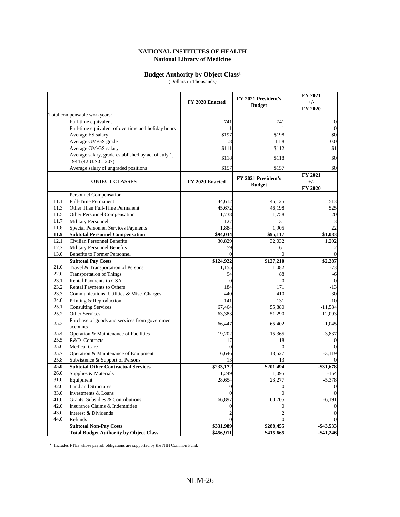#### **Budget Authority by Object Class<sup>1</sup>**

(Dollars in Thousands)

|      |                                                            | FY 2020 Enacted | FY 2021 President's<br><b>Budget</b> | FY 2021<br>$+/-$<br>FY 2020 |
|------|------------------------------------------------------------|-----------------|--------------------------------------|-----------------------------|
|      | Total compensable workyears:                               |                 |                                      |                             |
|      | Full-time equivalent                                       | 741             | 741                                  | $\boldsymbol{0}$            |
|      | Full-time equivalent of overtime and holiday hours         |                 |                                      | $\overline{0}$              |
|      | Average ES salary                                          | \$197           | \$198                                | \$0                         |
|      | Average GM/GS grade                                        | 11.8            | 11.8                                 | 0.0                         |
|      | Average GM/GS salary                                       | \$111           | \$112                                | \$1                         |
|      | Average salary, grade established by act of July 1,        | \$118           | \$118                                | \$0                         |
|      | 1944 (42 U.S.C. 207)                                       |                 |                                      |                             |
|      | Average salary of ungraded positions                       | \$157           | \$157                                | \$0                         |
|      |                                                            |                 | FY 2021 President's                  | FY 2021                     |
|      | <b>OBJECT CLASSES</b>                                      | FY 2020 Enacted | <b>Budget</b>                        | $+/-$<br>FY 2020            |
|      | Personnel Compensation                                     |                 |                                      |                             |
| 11.1 | <b>Full-Time Permanent</b>                                 | 44,612          | 45,125                               | 513                         |
| 11.3 | Other Than Full-Time Permanent                             | 45,672          | 46,198                               | 525                         |
| 11.5 | Other Personnel Compensation                               | 1,738           | 1,758                                | 20                          |
| 11.7 | Military Personnel                                         | 127             | 131                                  | 3                           |
| 11.8 | Special Personnel Services Payments                        | 1,884           | 1,905                                | 22                          |
| 11.9 | <b>Subtotal Personnel Compensation</b>                     | \$94,034        | \$95,117                             | \$1,083                     |
| 12.1 | Civilian Personnel Benefits                                | 30,829          | 32,032                               | 1,202                       |
| 12.2 | Military Personnel Benefits                                | 59              | 61                                   | 2                           |
| 13.0 | <b>Benefits to Former Personnel</b>                        | $\Omega$        | $\Omega$                             | $\Omega$                    |
|      | <b>Subtotal Pay Costs</b>                                  | \$124,922       | \$127,210                            | \$2,287                     |
| 21.0 | Travel & Transportation of Persons                         | 1,155           | 1,082                                | $-73$                       |
| 22.0 | <b>Transportation of Things</b>                            | 94              | 88                                   | -6                          |
| 23.1 | Rental Payments to GSA                                     | $\Omega$        | $\Omega$                             | $\theta$                    |
| 23.2 | Rental Payments to Others                                  | 184             | 171                                  | $-13$                       |
| 23.3 | Communications, Utilities & Misc. Charges                  | 440             | 410                                  | $-30$                       |
| 24.0 | Printing & Reproduction                                    | 141             | 131                                  | $-10$                       |
| 25.1 | <b>Consulting Services</b>                                 | 67,464          | 55,880                               | $-11,584$                   |
| 25.2 | Other Services                                             | 63,383          | 51,290                               | $-12,093$                   |
| 25.3 | Purchase of goods and services from government<br>accounts | 66,447          | 65,402                               | $-1,045$                    |
| 25.4 | Operation & Maintenance of Facilities                      | 19,202          | 15,365                               | $-3,837$                    |
| 25.5 | R&D Contracts                                              | 17              | 18                                   | $\theta$                    |
| 25.6 | <b>Medical Care</b>                                        | $\Omega$        | $\Omega$                             |                             |
| 25.7 | Operation & Maintenance of Equipment                       | 16,646          | 13,527                               | $-3,119$                    |
| 25.8 | Subsistence & Support of Persons                           | 13              | 13                                   |                             |
| 25.0 | <b>Subtotal Other Contractual Services</b>                 | \$233,172       | \$201,494                            | $-$ \$31,678                |
| 26.0 | Supplies & Materials                                       | 1,249           | 1,095                                | $-154$                      |
| 31.0 | Equipment                                                  | 28,654          | 23,277                               | $-5,378$                    |
| 32.0 | Land and Structures                                        | O               |                                      |                             |
| 33.0 | Investments & Loans                                        |                 |                                      |                             |
| 41.0 | Grants, Subsidies & Contributions                          | 66,897          | 60,705                               | $-6,191$                    |
| 42.0 | Insurance Claims & Indemnities                             |                 |                                      |                             |
| 43.0 | Interest & Dividends                                       |                 |                                      | $\mathbf{0}$                |
| 44.0 | Refunds                                                    | $\theta$        |                                      |                             |
|      | <b>Subtotal Non-Pay Costs</b>                              | \$331,989       | \$288,455                            | -\$43,533                   |
|      | <b>Total Budget Authority by Object Class</b>              | \$456,911       | \$415,665                            | $-$ \$41,246                |

<sup>1</sup> Includes FTEs whose payroll obligations are supported by the NIH Common Fund.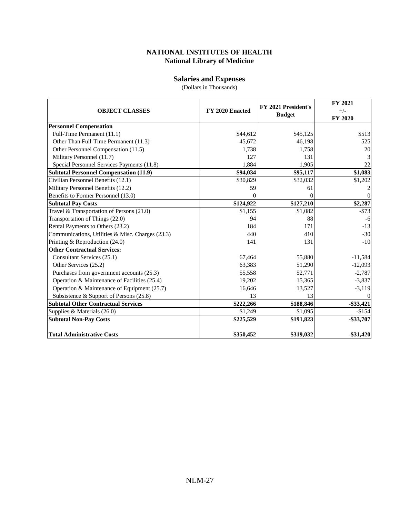### **Salaries and Expenses**

(Dollars in Thousands)

| <b>OBJECT CLASSES</b>                            | FY 2020 Enacted | FY 2021 President's<br><b>Budget</b> | FY 2021<br>$+/-$<br>FY 2020 |
|--------------------------------------------------|-----------------|--------------------------------------|-----------------------------|
| <b>Personnel Compensation</b>                    |                 |                                      |                             |
| Full-Time Permanent (11.1)                       | \$44,612        | \$45,125                             | \$513                       |
| Other Than Full-Time Permanent (11.3)            | 45,672          | 46,198                               | 525                         |
| Other Personnel Compensation (11.5)              | 1,738           | 1,758                                | 20                          |
| Military Personnel (11.7)                        | 127             | 131                                  | 3                           |
| Special Personnel Services Payments (11.8)       | 1,884           | 1,905                                | 22                          |
| <b>Subtotal Personnel Compensation (11.9)</b>    | \$94,034        | \$95,117                             | \$1,083                     |
| Civilian Personnel Benefits (12.1)               | \$30,829        | \$32,032                             | \$1,202                     |
| Military Personnel Benefits (12.2)               | 59              | 61                                   | 2                           |
| Benefits to Former Personnel (13.0)              |                 |                                      | $\theta$                    |
| <b>Subtotal Pay Costs</b>                        | \$124,922       | \$127,210                            | \$2,287                     |
| Travel & Transportation of Persons (21.0)        | \$1,155         | \$1,082                              | $-$73$                      |
| Transportation of Things (22.0)                  | 94              | 88                                   | $-6$                        |
| Rental Payments to Others (23.2)                 | 184             | 171                                  | $-13$                       |
| Communications, Utilities & Misc. Charges (23.3) | 440             | 410                                  | $-30$                       |
| Printing & Reproduction (24.0)                   | 141             | 131                                  | $-10$                       |
| <b>Other Contractual Services:</b>               |                 |                                      |                             |
| Consultant Services (25.1)                       | 67,464          | 55,880                               | $-11,584$                   |
| Other Services (25.2)                            | 63,383          | 51,290                               | $-12,093$                   |
| Purchases from government accounts (25.3)        | 55,558          | 52,771                               | $-2,787$                    |
| Operation & Maintenance of Facilities (25.4)     | 19,202          | 15,365                               | $-3,837$                    |
| Operation & Maintenance of Equipment (25.7)      | 16,646          | 13,527                               | $-3,119$                    |
| Subsistence & Support of Persons (25.8)          | 13              | 13                                   | $\Omega$                    |
| <b>Subtotal Other Contractual Services</b>       | \$222,266       | \$188,846                            | $-$ \$33,421                |
| Supplies & Materials (26.0)                      | \$1,249         | \$1,095                              | $-$154$                     |
| <b>Subtotal Non-Pay Costs</b>                    | \$225,529       | \$191,823                            | -\$33,707                   |
| <b>Total Administrative Costs</b>                | \$350,452       | \$319,032                            | $-$ \$31,420                |
|                                                  |                 |                                      |                             |
|                                                  | <b>NLM-27</b>   |                                      |                             |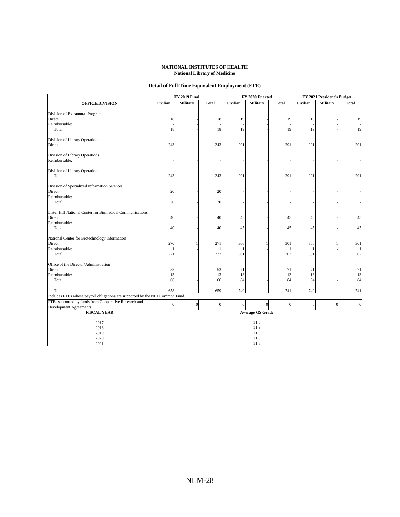#### **Detail of Full-Time Equivalent Employment (FTE)**

|                                                                               |          | <b>FY 2019 Final</b> |                |                | FY 2020 Enacted         |                |                | FY 2021 President's Budget |                |
|-------------------------------------------------------------------------------|----------|----------------------|----------------|----------------|-------------------------|----------------|----------------|----------------------------|----------------|
| <b>OFFICE/DIVISION</b>                                                        | Civilian | <b>Military</b>      | <b>Total</b>   | Civilian       | <b>Military</b>         | <b>Total</b>   | Civilian       | <b>Military</b>            | <b>Total</b>   |
|                                                                               |          |                      |                |                |                         |                |                |                            |                |
| Division of Extramural Programs                                               |          |                      |                |                |                         |                |                |                            |                |
| Direct:                                                                       | 18       |                      | 18             | 19             |                         | 19             | 19             |                            | 19             |
| Reimbursable:                                                                 |          |                      |                |                |                         |                |                |                            |                |
| Total:                                                                        | 18       |                      | 18             | 19             |                         | 19             | 19             |                            | 19             |
| Division of Library Operations                                                |          |                      |                |                |                         |                |                |                            |                |
| Direct:                                                                       | 243      |                      | 243            | 291            |                         | 291            | 291            |                            | 291            |
| Division of Library Operations                                                |          |                      |                |                |                         |                |                |                            |                |
| Reimbursable:                                                                 |          |                      |                |                |                         |                |                |                            |                |
| Division of Library Operations                                                |          |                      |                |                |                         |                |                |                            |                |
| Total:                                                                        | 243      |                      | 243            | 291            |                         | 291            | 291            |                            | 291            |
| Division of Specialized Information Services                                  |          |                      |                |                |                         |                |                |                            |                |
| Direct:                                                                       | 20       |                      | 20             |                |                         |                |                |                            |                |
| Reimbursable:                                                                 |          |                      |                |                |                         |                |                |                            |                |
| Total:                                                                        | 20       |                      | 20             |                |                         |                |                |                            |                |
| Lister Hill National Center for Biomedical Communications                     |          |                      |                |                |                         |                |                |                            |                |
| Direct:                                                                       | 40       |                      | 40             | 45             |                         | 45             | 45             |                            | 45             |
| Reimbursable:                                                                 |          |                      |                |                |                         |                |                |                            |                |
| Total:                                                                        | 40       |                      | 40             | 45             |                         | 45             | 45             |                            | 45             |
| National Center for Biotechnology Information                                 |          |                      |                |                |                         |                |                |                            |                |
| Direct:                                                                       | 270      |                      | 271            | 300            |                         | 301            | 300            |                            | 301            |
| Reimbursable:                                                                 | 1        |                      |                |                |                         |                |                |                            |                |
| Total:                                                                        | 271      |                      | 272            | 301            |                         | 302            | 301            |                            | 302            |
| Office of the Director/Administration                                         |          |                      |                |                |                         |                |                |                            |                |
| Direct:                                                                       | 53       |                      | 53             | 71             |                         | 71             | 71             |                            | 71             |
| Reimbursable:                                                                 | 13       |                      | 13             | 13             |                         | 13             | 13             |                            | 13             |
| Total:                                                                        | 66       |                      | 66             | 84             |                         | 84             | 84             |                            | 84             |
| Total                                                                         | 658      | 1                    | 659            | 740            |                         | 741            | 740            |                            | 741            |
| Includes FTEs whose payroll obligations are supported by the NIH Common Fund. |          |                      |                |                |                         |                |                |                            |                |
| FTEs supported by funds from Cooperative Research and                         | 0        | $\mathbf{0}$         | $\overline{0}$ | $\overline{0}$ | $\overline{0}$          | $\overline{0}$ | $\overline{0}$ | $\overline{0}$             | $\overline{0}$ |
| Development Agreements.                                                       |          |                      |                |                |                         |                |                |                            |                |
| <b>FISCAL YEAR</b>                                                            |          |                      |                |                | <b>Average GS Grade</b> |                |                |                            |                |
| 2017                                                                          |          |                      |                |                | 11.5                    |                |                |                            |                |
| 2018                                                                          | 11.9     |                      |                |                |                         |                |                |                            |                |
| 2019                                                                          |          |                      |                |                | 11.8                    |                |                |                            |                |
| 2020                                                                          |          |                      |                |                | 11.8                    |                |                |                            |                |
| 2021                                                                          |          |                      |                |                | 11.8                    |                |                |                            |                |